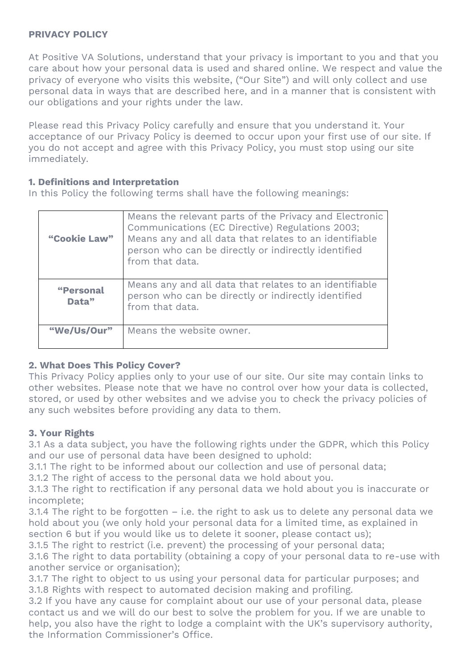### **PRIVACY POLICY**

At Positive VA Solutions, understand that your privacy is important to you and that you care about how your personal data is used and shared online. We respect and value the privacy of everyone who visits this website, ("Our Site") and will only collect and use personal data in ways that are described here, and in a manner that is consistent with our obligations and your rights under the law.

Please read this Privacy Policy carefully and ensure that you understand it. Your acceptance of our Privacy Policy is deemed to occur upon your first use of our site. If you do not accept and agree with this Privacy Policy, you must stop using our site immediately.

### **1. Definitions and Interpretation**

In this Policy the following terms shall have the following meanings:

| "Cookie Law"       | Means the relevant parts of the Privacy and Electronic<br>Communications (EC Directive) Regulations 2003;<br>Means any and all data that relates to an identifiable<br>person who can be directly or indirectly identified<br>from that data. |
|--------------------|-----------------------------------------------------------------------------------------------------------------------------------------------------------------------------------------------------------------------------------------------|
| "Personal<br>Data" | Means any and all data that relates to an identifiable<br>person who can be directly or indirectly identified<br>from that data.                                                                                                              |
| "We/Us/Our"        | Means the website owner.                                                                                                                                                                                                                      |

## **2. What Does This Policy Cover?**

This Privacy Policy applies only to your use of our site. Our site may contain links to other websites. Please note that we have no control over how your data is collected, stored, or used by other websites and we advise you to check the privacy policies of any such websites before providing any data to them.

#### **3. Your Rights**

3.1 As a data subject, you have the following rights under the GDPR, which this Policy and our use of personal data have been designed to uphold:

3.1.1 The right to be informed about our collection and use of personal data;

3.1.2 The right of access to the personal data we hold about you.

3.1.3 The right to rectification if any personal data we hold about you is inaccurate or incomplete;

3.1.4 The right to be forgotten – i.e. the right to ask us to delete any personal data we hold about you (we only hold your personal data for a limited time, as explained in section 6 but if you would like us to delete it sooner, please contact us);

3.1.5 The right to restrict (i.e. prevent) the processing of your personal data;

3.1.6 The right to data portability (obtaining a copy of your personal data to re-use with another service or organisation);

3.1.7 The right to object to us using your personal data for particular purposes; and 3.1.8 Rights with respect to automated decision making and profiling.

3.2 If you have any cause for complaint about our use of your personal data, please contact us and we will do our best to solve the problem for you. If we are unable to help, you also have the right to lodge a complaint with the UK's supervisory authority, the Information Commissioner's Office.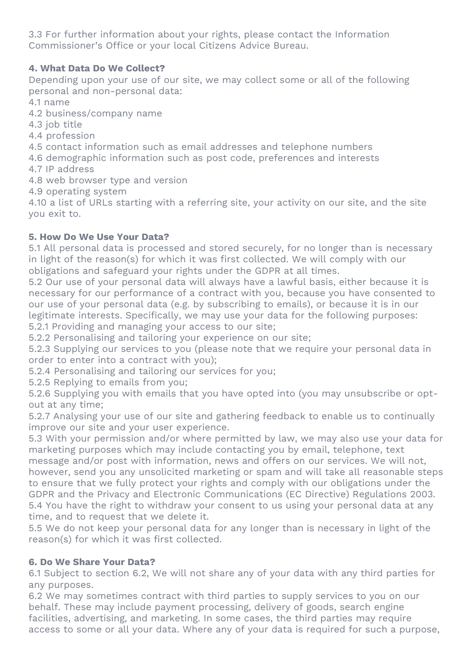3.3 For further information about your rights, please contact the Information Commissioner's Office or your local Citizens Advice Bureau.

# **4. What Data Do We Collect?**

Depending upon your use of our site, we may collect some or all of the following personal and non-personal data:

4.1 name

4.2 business/company name

4.3 job title

4.4 profession

4.5 contact information such as email addresses and telephone numbers

4.6 demographic information such as post code, preferences and interests

4.7 IP address

4.8 web browser type and version

4.9 operating system

4.10 a list of URLs starting with a referring site, your activity on our site, and the site you exit to.

## **5. How Do We Use Your Data?**

5.1 All personal data is processed and stored securely, for no longer than is necessary in light of the reason(s) for which it was first collected. We will comply with our obligations and safeguard your rights under the GDPR at all times.

5.2 Our use of your personal data will always have a lawful basis, either because it is necessary for our performance of a contract with you, because you have consented to our use of your personal data (e.g. by subscribing to emails), or because it is in our legitimate interests. Specifically, we may use your data for the following purposes: 5.2.1 Providing and managing your access to our site;

5.2.2 Personalising and tailoring your experience on our site;

5.2.3 Supplying our services to you (please note that we require your personal data in order to enter into a contract with you);

5.2.4 Personalising and tailoring our services for you;

5.2.5 Replying to emails from you;

5.2.6 Supplying you with emails that you have opted into (you may unsubscribe or optout at any time;

5.2.7 Analysing your use of our site and gathering feedback to enable us to continually improve our site and your user experience.

5.3 With your permission and/or where permitted by law, we may also use your data for marketing purposes which may include contacting you by email, telephone, text message and/or post with information, news and offers on our services. We will not, however, send you any unsolicited marketing or spam and will take all reasonable steps to ensure that we fully protect your rights and comply with our obligations under the GDPR and the Privacy and Electronic Communications (EC Directive) Regulations 2003. 5.4 You have the right to withdraw your consent to us using your personal data at any time, and to request that we delete it.

5.5 We do not keep your personal data for any longer than is necessary in light of the reason(s) for which it was first collected.

## **6. Do We Share Your Data?**

6.1 Subject to section 6.2, We will not share any of your data with any third parties for any purposes.

6.2 We may sometimes contract with third parties to supply services to you on our behalf. These may include payment processing, delivery of goods, search engine facilities, advertising, and marketing. In some cases, the third parties may require access to some or all your data. Where any of your data is required for such a purpose,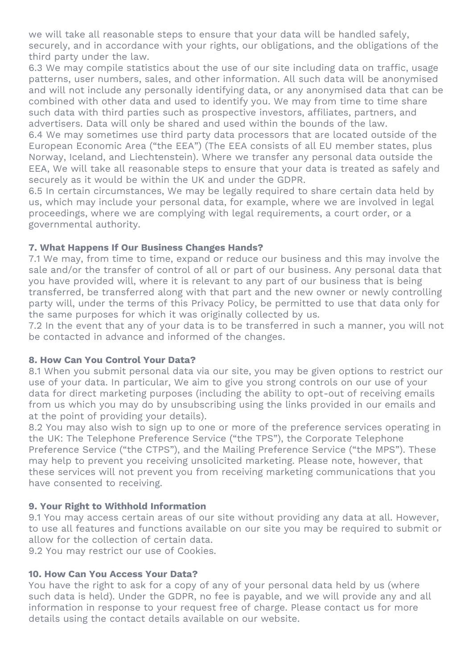we will take all reasonable steps to ensure that your data will be handled safely, securely, and in accordance with your rights, our obligations, and the obligations of the third party under the law.

6.3 We may compile statistics about the use of our site including data on traffic, usage patterns, user numbers, sales, and other information. All such data will be anonymised and will not include any personally identifying data, or any anonymised data that can be combined with other data and used to identify you. We may from time to time share such data with third parties such as prospective investors, affiliates, partners, and advertisers. Data will only be shared and used within the bounds of the law.

6.4 We may sometimes use third party data processors that are located outside of the European Economic Area ("the EEA") (The EEA consists of all EU member states, plus Norway, Iceland, and Liechtenstein). Where we transfer any personal data outside the EEA, We will take all reasonable steps to ensure that your data is treated as safely and securely as it would be within the UK and under the GDPR.

6.5 In certain circumstances, We may be legally required to share certain data held by us, which may include your personal data, for example, where we are involved in legal proceedings, where we are complying with legal requirements, a court order, or a governmental authority.

## **7. What Happens If Our Business Changes Hands?**

7.1 We may, from time to time, expand or reduce our business and this may involve the sale and/or the transfer of control of all or part of our business. Any personal data that you have provided will, where it is relevant to any part of our business that is being transferred, be transferred along with that part and the new owner or newly controlling party will, under the terms of this Privacy Policy, be permitted to use that data only for the same purposes for which it was originally collected by us.

7.2 In the event that any of your data is to be transferred in such a manner, you will not be contacted in advance and informed of the changes.

#### **8. How Can You Control Your Data?**

8.1 When you submit personal data via our site, you may be given options to restrict our use of your data. In particular, We aim to give you strong controls on our use of your data for direct marketing purposes (including the ability to opt-out of receiving emails from us which you may do by unsubscribing using the links provided in our emails and at the point of providing your details).

8.2 You may also wish to sign up to one or more of the preference services operating in the UK: The Telephone Preference Service ("the TPS"), the Corporate Telephone Preference Service ("the CTPS"), and the Mailing Preference Service ("the MPS"). These may help to prevent you receiving unsolicited marketing. Please note, however, that these services will not prevent you from receiving marketing communications that you have consented to receiving.

#### **9. Your Right to Withhold Information**

9.1 You may access certain areas of our site without providing any data at all. However, to use all features and functions available on our site you may be required to submit or allow for the collection of certain data.

9.2 You may restrict our use of Cookies.

#### **10. How Can You Access Your Data?**

You have the right to ask for a copy of any of your personal data held by us (where such data is held). Under the GDPR, no fee is payable, and we will provide any and all information in response to your request free of charge. Please contact us for more details using the contact details available on our website.